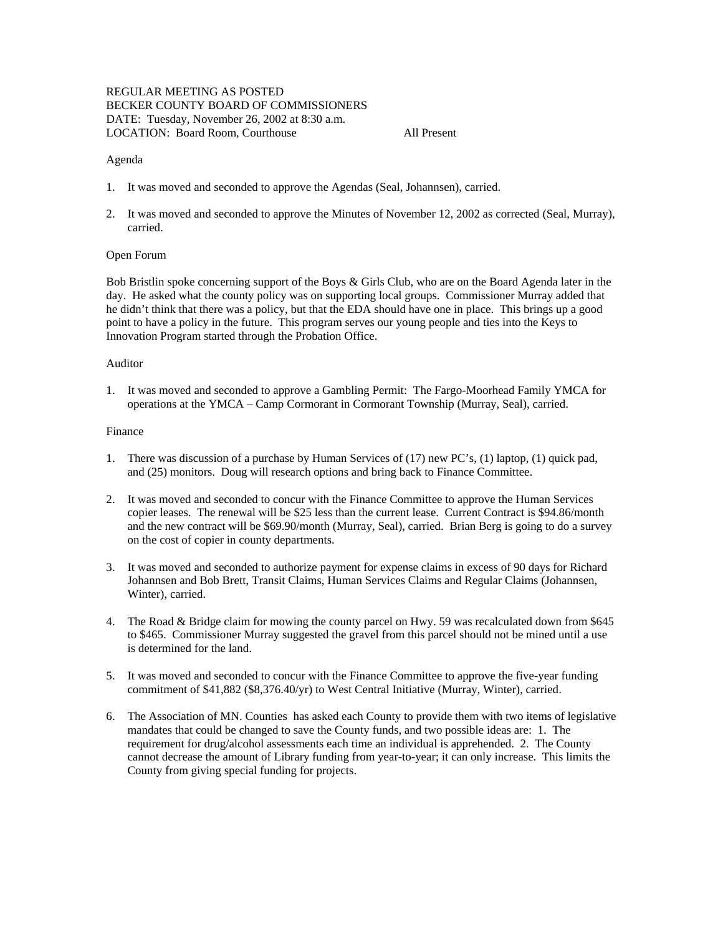## REGULAR MEETING AS POSTED BECKER COUNTY BOARD OF COMMISSIONERS DATE: Tuesday, November 26, 2002 at 8:30 a.m. LOCATION: Board Room, Courthouse All Present

#### Agenda

- 1. It was moved and seconded to approve the Agendas (Seal, Johannsen), carried.
- 2. It was moved and seconded to approve the Minutes of November 12, 2002 as corrected (Seal, Murray), carried.

#### Open Forum

Bob Bristlin spoke concerning support of the Boys & Girls Club, who are on the Board Agenda later in the day. He asked what the county policy was on supporting local groups. Commissioner Murray added that he didn't think that there was a policy, but that the EDA should have one in place. This brings up a good point to have a policy in the future. This program serves our young people and ties into the Keys to Innovation Program started through the Probation Office.

#### Auditor

1. It was moved and seconded to approve a Gambling Permit: The Fargo-Moorhead Family YMCA for operations at the YMCA – Camp Cormorant in Cormorant Township (Murray, Seal), carried.

#### Finance

- 1. There was discussion of a purchase by Human Services of (17) new PC's, (1) laptop, (1) quick pad, and (25) monitors. Doug will research options and bring back to Finance Committee.
- 2. It was moved and seconded to concur with the Finance Committee to approve the Human Services copier leases. The renewal will be \$25 less than the current lease. Current Contract is \$94.86/month and the new contract will be \$69.90/month (Murray, Seal), carried. Brian Berg is going to do a survey on the cost of copier in county departments.
- 3. It was moved and seconded to authorize payment for expense claims in excess of 90 days for Richard Johannsen and Bob Brett, Transit Claims, Human Services Claims and Regular Claims (Johannsen, Winter), carried.
- 4. The Road & Bridge claim for mowing the county parcel on Hwy. 59 was recalculated down from \$645 to \$465. Commissioner Murray suggested the gravel from this parcel should not be mined until a use is determined for the land.
- 5. It was moved and seconded to concur with the Finance Committee to approve the five-year funding commitment of \$41,882 (\$8,376.40/yr) to West Central Initiative (Murray, Winter), carried.
- 6. The Association of MN. Counties has asked each County to provide them with two items of legislative mandates that could be changed to save the County funds, and two possible ideas are: 1. The requirement for drug/alcohol assessments each time an individual is apprehended. 2. The County cannot decrease the amount of Library funding from year-to-year; it can only increase. This limits the County from giving special funding for projects.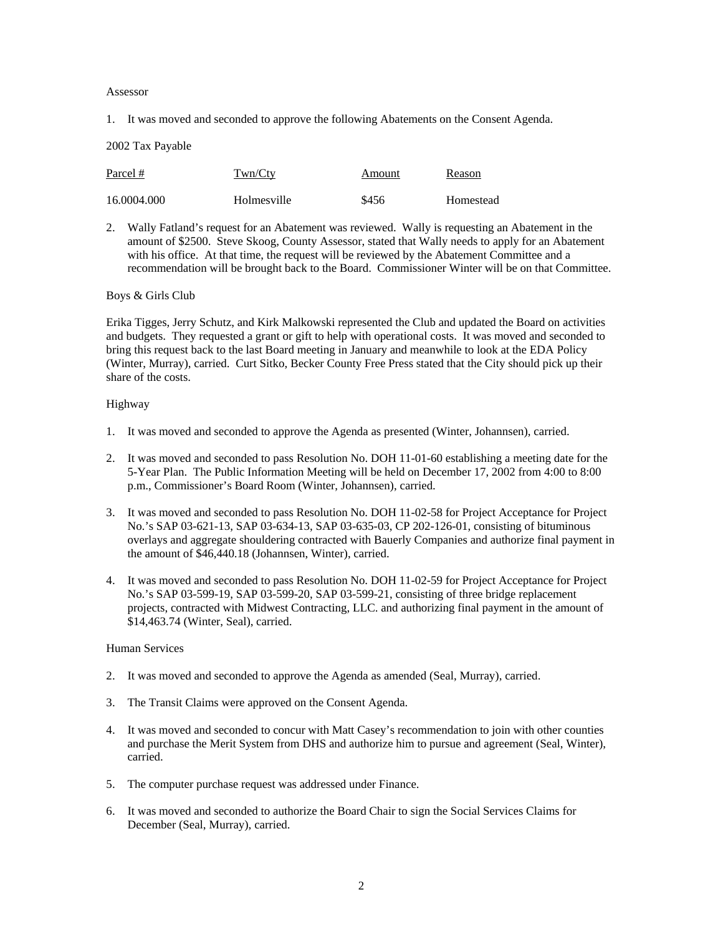Assessor

1. It was moved and seconded to approve the following Abatements on the Consent Agenda.

2002 Tax Payable

| Parcel #    | Twn/Cty     | Amount | Reason    |
|-------------|-------------|--------|-----------|
| 16.0004.000 | Holmesville | \$456  | Homestead |

2. Wally Fatland's request for an Abatement was reviewed. Wally is requesting an Abatement in the amount of \$2500. Steve Skoog, County Assessor, stated that Wally needs to apply for an Abatement with his office. At that time, the request will be reviewed by the Abatement Committee and a recommendation will be brought back to the Board. Commissioner Winter will be on that Committee.

### Boys & Girls Club

Erika Tigges, Jerry Schutz, and Kirk Malkowski represented the Club and updated the Board on activities and budgets. They requested a grant or gift to help with operational costs. It was moved and seconded to bring this request back to the last Board meeting in January and meanwhile to look at the EDA Policy (Winter, Murray), carried. Curt Sitko, Becker County Free Press stated that the City should pick up their share of the costs.

### Highway

- 1. It was moved and seconded to approve the Agenda as presented (Winter, Johannsen), carried.
- 2. It was moved and seconded to pass Resolution No. DOH 11-01-60 establishing a meeting date for the 5-Year Plan. The Public Information Meeting will be held on December 17, 2002 from 4:00 to 8:00 p.m., Commissioner's Board Room (Winter, Johannsen), carried.
- 3. It was moved and seconded to pass Resolution No. DOH 11-02-58 for Project Acceptance for Project No.'s SAP 03-621-13, SAP 03-634-13, SAP 03-635-03, CP 202-126-01, consisting of bituminous overlays and aggregate shouldering contracted with Bauerly Companies and authorize final payment in the amount of \$46,440.18 (Johannsen, Winter), carried.
- 4. It was moved and seconded to pass Resolution No. DOH 11-02-59 for Project Acceptance for Project No.'s SAP 03-599-19, SAP 03-599-20, SAP 03-599-21, consisting of three bridge replacement projects, contracted with Midwest Contracting, LLC. and authorizing final payment in the amount of \$14,463.74 (Winter, Seal), carried.

### Human Services

- 2. It was moved and seconded to approve the Agenda as amended (Seal, Murray), carried.
- 3. The Transit Claims were approved on the Consent Agenda.
- 4. It was moved and seconded to concur with Matt Casey's recommendation to join with other counties and purchase the Merit System from DHS and authorize him to pursue and agreement (Seal, Winter), carried.
- 5. The computer purchase request was addressed under Finance.
- 6. It was moved and seconded to authorize the Board Chair to sign the Social Services Claims for December (Seal, Murray), carried.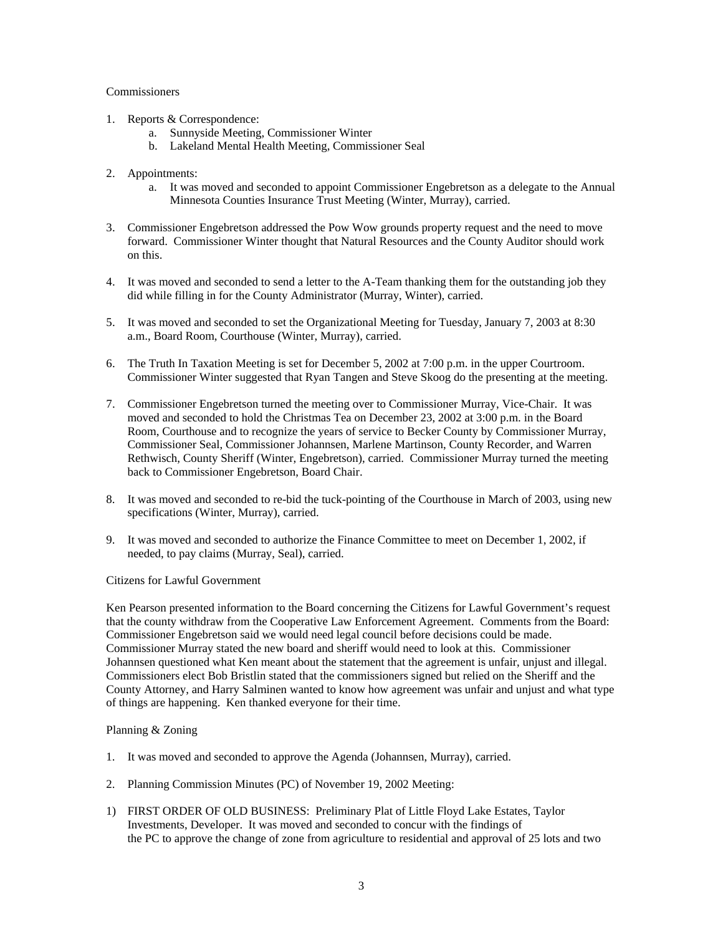## **Commissioners**

- 1. Reports & Correspondence:
	- a. Sunnyside Meeting, Commissioner Winter
	- b. Lakeland Mental Health Meeting, Commissioner Seal
- 2. Appointments:
	- a. It was moved and seconded to appoint Commissioner Engebretson as a delegate to the Annual Minnesota Counties Insurance Trust Meeting (Winter, Murray), carried.
- 3. Commissioner Engebretson addressed the Pow Wow grounds property request and the need to move forward. Commissioner Winter thought that Natural Resources and the County Auditor should work on this.
- 4. It was moved and seconded to send a letter to the A-Team thanking them for the outstanding job they did while filling in for the County Administrator (Murray, Winter), carried.
- 5. It was moved and seconded to set the Organizational Meeting for Tuesday, January 7, 2003 at 8:30 a.m., Board Room, Courthouse (Winter, Murray), carried.
- 6. The Truth In Taxation Meeting is set for December 5, 2002 at 7:00 p.m. in the upper Courtroom. Commissioner Winter suggested that Ryan Tangen and Steve Skoog do the presenting at the meeting.
- 7. Commissioner Engebretson turned the meeting over to Commissioner Murray, Vice-Chair. It was moved and seconded to hold the Christmas Tea on December 23, 2002 at 3:00 p.m. in the Board Room, Courthouse and to recognize the years of service to Becker County by Commissioner Murray, Commissioner Seal, Commissioner Johannsen, Marlene Martinson, County Recorder, and Warren Rethwisch, County Sheriff (Winter, Engebretson), carried. Commissioner Murray turned the meeting back to Commissioner Engebretson, Board Chair.
- 8. It was moved and seconded to re-bid the tuck-pointing of the Courthouse in March of 2003, using new specifications (Winter, Murray), carried.
- 9. It was moved and seconded to authorize the Finance Committee to meet on December 1, 2002, if needed, to pay claims (Murray, Seal), carried.

# Citizens for Lawful Government

Ken Pearson presented information to the Board concerning the Citizens for Lawful Government's request that the county withdraw from the Cooperative Law Enforcement Agreement. Comments from the Board: Commissioner Engebretson said we would need legal council before decisions could be made. Commissioner Murray stated the new board and sheriff would need to look at this. Commissioner Johannsen questioned what Ken meant about the statement that the agreement is unfair, unjust and illegal. Commissioners elect Bob Bristlin stated that the commissioners signed but relied on the Sheriff and the County Attorney, and Harry Salminen wanted to know how agreement was unfair and unjust and what type of things are happening. Ken thanked everyone for their time.

# Planning & Zoning

- 1. It was moved and seconded to approve the Agenda (Johannsen, Murray), carried.
- 2. Planning Commission Minutes (PC) of November 19, 2002 Meeting:
- 1) FIRST ORDER OF OLD BUSINESS: Preliminary Plat of Little Floyd Lake Estates, Taylor Investments, Developer. It was moved and seconded to concur with the findings of the PC to approve the change of zone from agriculture to residential and approval of 25 lots and two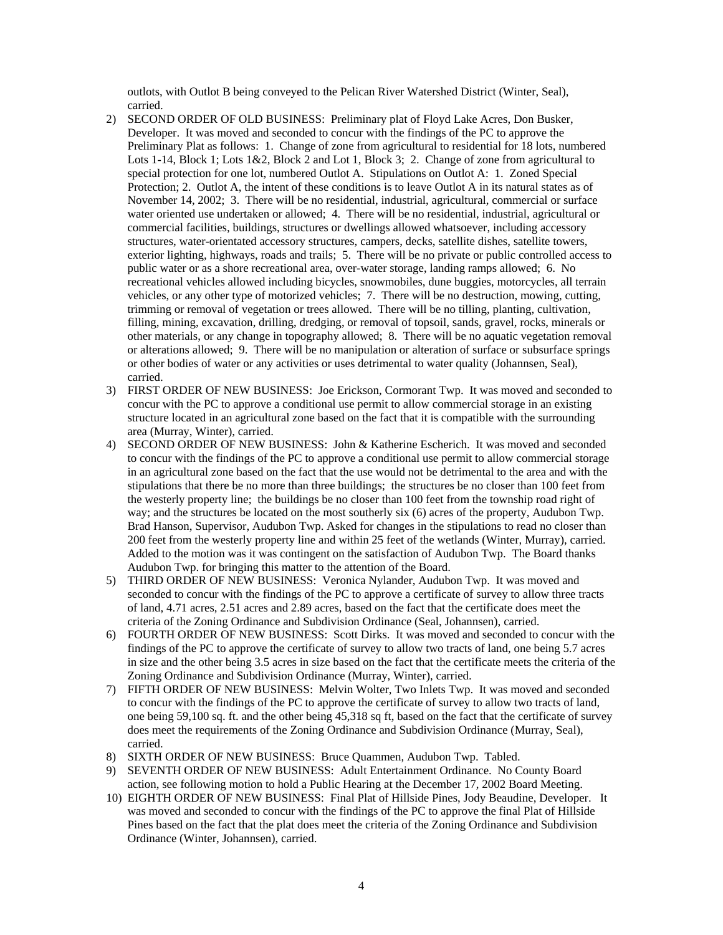outlots, with Outlot B being conveyed to the Pelican River Watershed District (Winter, Seal), carried.

- 2) SECOND ORDER OF OLD BUSINESS: Preliminary plat of Floyd Lake Acres, Don Busker, Developer. It was moved and seconded to concur with the findings of the PC to approve the Preliminary Plat as follows: 1. Change of zone from agricultural to residential for 18 lots, numbered Lots 1-14, Block 1; Lots 1&2, Block 2 and Lot 1, Block 3; 2. Change of zone from agricultural to special protection for one lot, numbered Outlot A. Stipulations on Outlot A: 1. Zoned Special Protection; 2. Outlot A, the intent of these conditions is to leave Outlot A in its natural states as of November 14, 2002; 3. There will be no residential, industrial, agricultural, commercial or surface water oriented use undertaken or allowed; 4. There will be no residential, industrial, agricultural or commercial facilities, buildings, structures or dwellings allowed whatsoever, including accessory structures, water-orientated accessory structures, campers, decks, satellite dishes, satellite towers, exterior lighting, highways, roads and trails; 5. There will be no private or public controlled access to public water or as a shore recreational area, over-water storage, landing ramps allowed; 6. No recreational vehicles allowed including bicycles, snowmobiles, dune buggies, motorcycles, all terrain vehicles, or any other type of motorized vehicles; 7. There will be no destruction, mowing, cutting, trimming or removal of vegetation or trees allowed. There will be no tilling, planting, cultivation, filling, mining, excavation, drilling, dredging, or removal of topsoil, sands, gravel, rocks, minerals or other materials, or any change in topography allowed; 8. There will be no aquatic vegetation removal or alterations allowed; 9. There will be no manipulation or alteration of surface or subsurface springs or other bodies of water or any activities or uses detrimental to water quality (Johannsen, Seal), carried.
- 3) FIRST ORDER OF NEW BUSINESS: Joe Erickson, Cormorant Twp. It was moved and seconded to concur with the PC to approve a conditional use permit to allow commercial storage in an existing structure located in an agricultural zone based on the fact that it is compatible with the surrounding area (Murray, Winter), carried.
- 4) SECOND ORDER OF NEW BUSINESS: John & Katherine Escherich. It was moved and seconded to concur with the findings of the PC to approve a conditional use permit to allow commercial storage in an agricultural zone based on the fact that the use would not be detrimental to the area and with the stipulations that there be no more than three buildings; the structures be no closer than 100 feet from the westerly property line; the buildings be no closer than 100 feet from the township road right of way; and the structures be located on the most southerly six (6) acres of the property, Audubon Twp. Brad Hanson, Supervisor, Audubon Twp. Asked for changes in the stipulations to read no closer than 200 feet from the westerly property line and within 25 feet of the wetlands (Winter, Murray), carried. Added to the motion was it was contingent on the satisfaction of Audubon Twp. The Board thanks Audubon Twp. for bringing this matter to the attention of the Board.
- 5) THIRD ORDER OF NEW BUSINESS: Veronica Nylander, Audubon Twp. It was moved and seconded to concur with the findings of the PC to approve a certificate of survey to allow three tracts of land, 4.71 acres, 2.51 acres and 2.89 acres, based on the fact that the certificate does meet the criteria of the Zoning Ordinance and Subdivision Ordinance (Seal, Johannsen), carried.
- 6) FOURTH ORDER OF NEW BUSINESS: Scott Dirks. It was moved and seconded to concur with the findings of the PC to approve the certificate of survey to allow two tracts of land, one being 5.7 acres in size and the other being 3.5 acres in size based on the fact that the certificate meets the criteria of the Zoning Ordinance and Subdivision Ordinance (Murray, Winter), carried.
- 7) FIFTH ORDER OF NEW BUSINESS: Melvin Wolter, Two Inlets Twp. It was moved and seconded to concur with the findings of the PC to approve the certificate of survey to allow two tracts of land, one being 59,100 sq. ft. and the other being 45,318 sq ft, based on the fact that the certificate of survey does meet the requirements of the Zoning Ordinance and Subdivision Ordinance (Murray, Seal), carried.
- 8) SIXTH ORDER OF NEW BUSINESS: Bruce Quammen, Audubon Twp. Tabled.
- 9) SEVENTH ORDER OF NEW BUSINESS: Adult Entertainment Ordinance. No County Board action, see following motion to hold a Public Hearing at the December 17, 2002 Board Meeting.
- 10) EIGHTH ORDER OF NEW BUSINESS: Final Plat of Hillside Pines, Jody Beaudine, Developer. It was moved and seconded to concur with the findings of the PC to approve the final Plat of Hillside Pines based on the fact that the plat does meet the criteria of the Zoning Ordinance and Subdivision Ordinance (Winter, Johannsen), carried.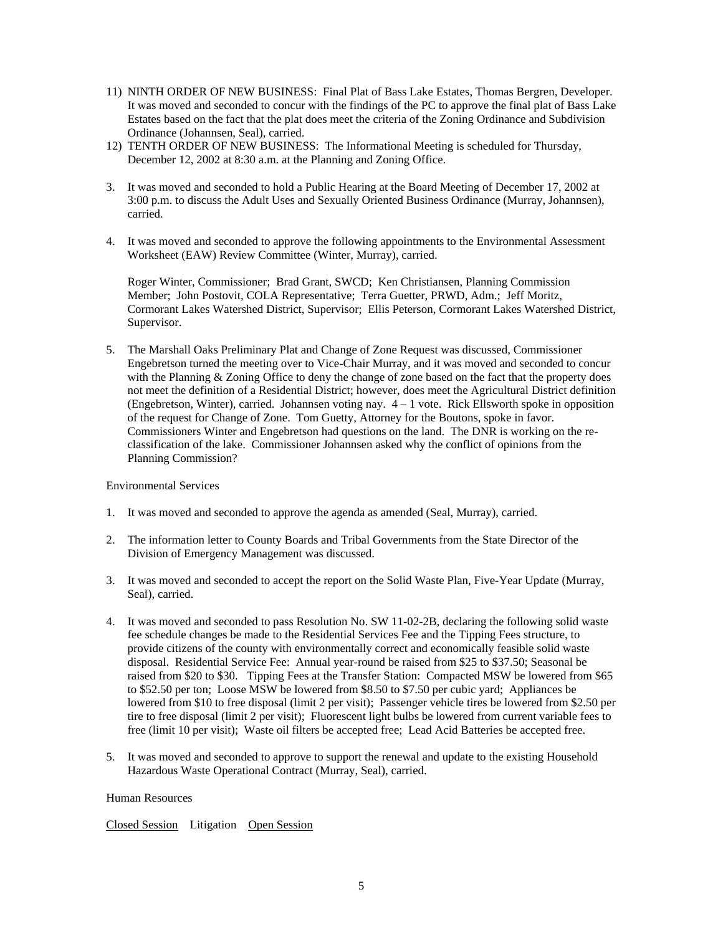- 11) NINTH ORDER OF NEW BUSINESS: Final Plat of Bass Lake Estates, Thomas Bergren, Developer. It was moved and seconded to concur with the findings of the PC to approve the final plat of Bass Lake Estates based on the fact that the plat does meet the criteria of the Zoning Ordinance and Subdivision Ordinance (Johannsen, Seal), carried.
- 12) TENTH ORDER OF NEW BUSINESS: The Informational Meeting is scheduled for Thursday, December 12, 2002 at 8:30 a.m. at the Planning and Zoning Office.
- 3. It was moved and seconded to hold a Public Hearing at the Board Meeting of December 17, 2002 at 3:00 p.m. to discuss the Adult Uses and Sexually Oriented Business Ordinance (Murray, Johannsen), carried.
- 4. It was moved and seconded to approve the following appointments to the Environmental Assessment Worksheet (EAW) Review Committee (Winter, Murray), carried.

Roger Winter, Commissioner; Brad Grant, SWCD; Ken Christiansen, Planning Commission Member; John Postovit, COLA Representative; Terra Guetter, PRWD, Adm.; Jeff Moritz, Cormorant Lakes Watershed District, Supervisor; Ellis Peterson, Cormorant Lakes Watershed District, Supervisor.

5. The Marshall Oaks Preliminary Plat and Change of Zone Request was discussed, Commissioner Engebretson turned the meeting over to Vice-Chair Murray, and it was moved and seconded to concur with the Planning & Zoning Office to deny the change of zone based on the fact that the property does not meet the definition of a Residential District; however, does meet the Agricultural District definition (Engebretson, Winter), carried. Johannsen voting nay.  $4 - 1$  vote. Rick Ellsworth spoke in opposition of the request for Change of Zone. Tom Guetty, Attorney for the Boutons, spoke in favor. Commissioners Winter and Engebretson had questions on the land. The DNR is working on the reclassification of the lake. Commissioner Johannsen asked why the conflict of opinions from the Planning Commission?

Environmental Services

- 1. It was moved and seconded to approve the agenda as amended (Seal, Murray), carried.
- 2. The information letter to County Boards and Tribal Governments from the State Director of the Division of Emergency Management was discussed.
- 3. It was moved and seconded to accept the report on the Solid Waste Plan, Five-Year Update (Murray, Seal), carried.
- 4. It was moved and seconded to pass Resolution No. SW 11-02-2B, declaring the following solid waste fee schedule changes be made to the Residential Services Fee and the Tipping Fees structure, to provide citizens of the county with environmentally correct and economically feasible solid waste disposal. Residential Service Fee: Annual year-round be raised from \$25 to \$37.50; Seasonal be raised from \$20 to \$30. Tipping Fees at the Transfer Station: Compacted MSW be lowered from \$65 to \$52.50 per ton; Loose MSW be lowered from \$8.50 to \$7.50 per cubic yard; Appliances be lowered from \$10 to free disposal (limit 2 per visit); Passenger vehicle tires be lowered from \$2.50 per tire to free disposal (limit 2 per visit); Fluorescent light bulbs be lowered from current variable fees to free (limit 10 per visit); Waste oil filters be accepted free; Lead Acid Batteries be accepted free.
- 5. It was moved and seconded to approve to support the renewal and update to the existing Household Hazardous Waste Operational Contract (Murray, Seal), carried.

#### Human Resources

Closed Session Litigation Open Session